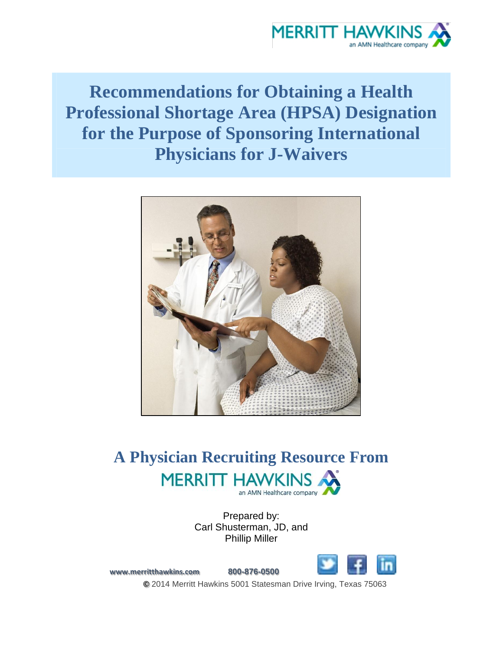

# **Recommendations for Obtaining a Health Professional Shortage Area (HPSA) Designation for the Purpose of Sponsoring International Physicians for J-Waivers**



## **A Physician Recruiting Resource From MERRITT HAWKINS** an AMN Healthcare company

Prepared by: Carl Shusterman, JD, and Phillip Miller



**[www.merritthawkins.com](http://www.merritthawkins.com/) 800-876-0500 ©** 2014 Merritt Hawkins 5001 Statesman Drive Irving, Texas 75063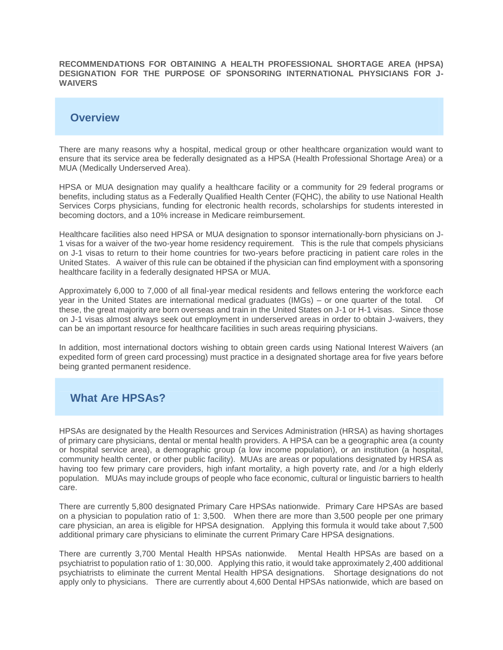**RECOMMENDATIONS FOR OBTAINING A HEALTH PROFESSIONAL SHORTAGE AREA (HPSA) DESIGNATION FOR THE PURPOSE OF SPONSORING INTERNATIONAL PHYSICIANS FOR J-WAIVERS**

#### **Overview**

There are many reasons why a hospital, medical group or other healthcare organization would want to ensure that its service area be federally designated as a HPSA (Health Professional Shortage Area) or a MUA (Medically Underserved Area).

HPSA or MUA designation may qualify a healthcare facility or a community for 29 federal programs or benefits, including status as a Federally Qualified Health Center (FQHC), the ability to use National Health Services Corps physicians, funding for electronic health records, scholarships for students interested in becoming doctors, and a 10% increase in Medicare reimbursement.

Healthcare facilities also need HPSA or MUA designation to sponsor internationally-born physicians on J-1 visas for a waiver of the two-year home residency requirement. This is the rule that compels physicians on J-1 visas to return to their home countries for two-years before practicing in patient care roles in the United States. A waiver of this rule can be obtained if the physician can find employment with a sponsoring healthcare facility in a federally designated HPSA or MUA.

Approximately 6,000 to 7,000 of all final-year medical residents and fellows entering the workforce each year in the United States are international medical graduates (IMGs) – or one quarter of the total. Of these, the great majority are born overseas and train in the United States on J-1 or H-1 visas. Since those on J-1 visas almost always seek out employment in underserved areas in order to obtain J-waivers, they can be an important resource for healthcare facilities in such areas requiring physicians.

In addition, most international doctors wishing to obtain green cards using National Interest Waivers (an expedited form of green card processing) must practice in a designated shortage area for five years before being granted permanent residence.

### **What Are HPSAs?**

HPSAs are designated by the Health Resources and Services Administration (HRSA) as having shortages of primary care physicians, dental or mental health providers. A HPSA can be a geographic area (a county or hospital service area), a demographic group (a low income population), or an institution (a hospital, community health center, or other public facility). MUAs are areas or populations designated by HRSA as having too few primary care providers, high infant mortality, a high poverty rate, and /or a high elderly population. MUAs may include groups of people who face economic, cultural or linguistic barriers to health care.

There are currently 5,800 designated Primary Care HPSAs nationwide. Primary Care HPSAs are based on a physician to population ratio of 1: 3,500. When there are more than 3,500 people per one primary care physician, an area is eligible for HPSA designation. Applying this formula it would take about 7,500 additional primary care physicians to eliminate the current Primary Care HPSA designations.

There are currently 3,700 Mental Health HPSAs nationwide. Mental Health HPSAs are based on a psychiatrist to population ratio of 1: 30,000. Applying this ratio, it would take approximately 2,400 additional psychiatrists to eliminate the current Mental Health HPSA designations. Shortage designations do not apply only to physicians. There are currently about 4,600 Dental HPSAs nationwide, which are based on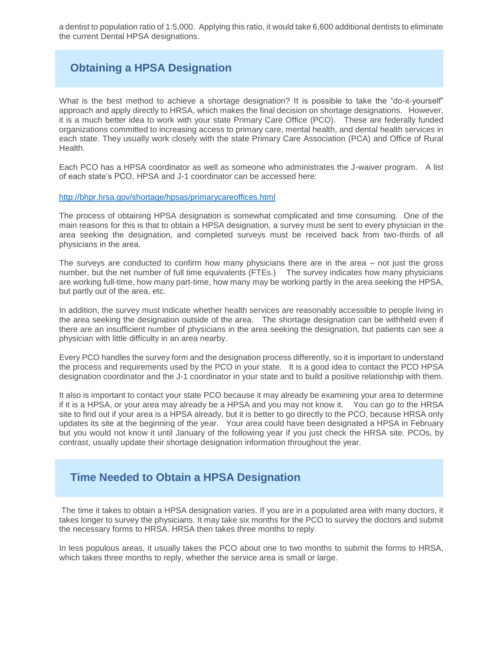a dentist to population ratio of 1:5,000. Applying this ratio, it would take 6,600 additional dentists to eliminate the current Dental HPSA designations.

### **Obtaining a HPSA Designation**

What is the best method to achieve a shortage designation? It is possible to take the "do-it-yourself" approach and apply directly to HRSA, which makes the final decision on shortage designations. However, it is a much better idea to work with your state Primary Care Office (PCO). These are federally funded organizations committed to increasing access to primary care, mental health, and dental health services in each state. They usually work closely with the state Primary Care Association (PCA) and Office of Rural **Health** 

Each PCO has a HPSA coordinator as well as someone who administrates the J-waiver program. A list of each state's PCO, HPSA and J-1 coordinator can be accessed here:

<http://bhpr.hrsa.gov/shortage/hpsas/primarycareoffices.html>

The process of obtaining HPSA designation is somewhat complicated and time consuming. One of the main reasons for this is that to obtain a HPSA designation, a survey must be sent to every physician in the area seeking the designation, and completed surveys must be received back from two-thirds of all physicians in the area.

The surveys are conducted to confirm how many physicians there are in the area – not just the gross number, but the net number of full time equivalents (FTEs.) The survey indicates how many physicians are working full-time, how many part-time, how many may be working partly in the area seeking the HPSA, but partly out of the area, etc.

In addition, the survey must indicate whether health services are reasonably accessible to people living in the area seeking the designation outside of the area. The shortage designation can be withheld even if there are an insufficient number of physicians in the area seeking the designation, but patients can see a physician with little difficulty in an area nearby.

Every PCO handles the survey form and the designation process differently, so it is important to understand the process and requirements used by the PCO in your state. It is a good idea to contact the PCO HPSA designation coordinator and the J-1 coordinator in your state and to build a positive relationship with them.

It also is important to contact your state PCO because it may already be examining your area to determine if it is a HPSA, or your area may already be a HPSA and you may not know it. You can go to the HRSA site to find out if your area is a HPSA already, but it is better to go directly to the PCO, because HRSA only updates its site at the beginning of the year. Your area could have been designated a HPSA in February but you would not know it until January of the following year if you just check the HRSA site. PCOs, by contrast, usually update their shortage designation information throughout the year.

#### **Time Needed to Obtain a HPSA Designation**

The time it takes to obtain a HPSA designation varies. If you are in a populated area with many doctors, it takes longer to survey the physicians. It may take six months for the PCO to survey the doctors and submit the necessary forms to HRSA. HRSA then takes three months to reply.

In less populous areas, it usually takes the PCO about one to two months to submit the forms to HRSA, which takes three months to reply, whether the service area is small or large.